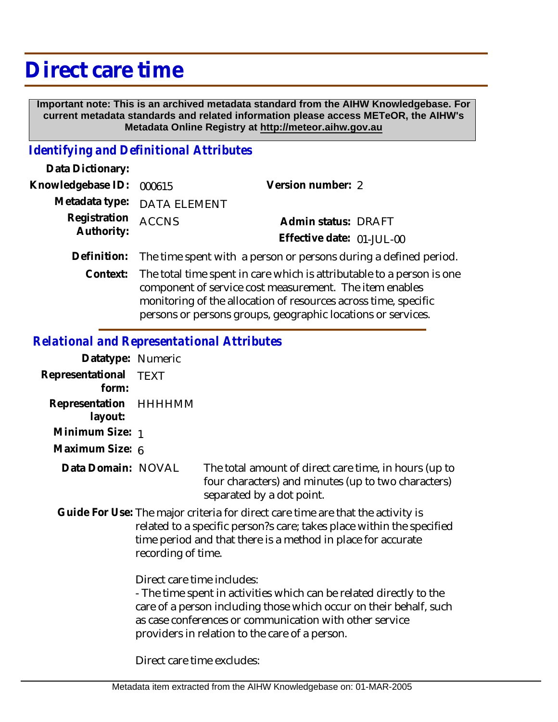## **Direct care time**

 **Important note: This is an archived metadata standard from the AIHW Knowledgebase. For current metadata standards and related information please access METeOR, the AIHW's Metadata Online Registry at http://meteor.aihw.gov.au**

## *Identifying and Definitional Attributes*

| Data Dictionary:                 |                                                                                |                           |  |
|----------------------------------|--------------------------------------------------------------------------------|---------------------------|--|
| Knowledgebase ID: 000615         |                                                                                | Version number: 2         |  |
|                                  | Metadata type: DATA ELEMENT                                                    |                           |  |
| Registration ACCNS<br>Authority: |                                                                                | Admin status: DRAFT       |  |
|                                  |                                                                                | Effective date: 01-JUL-00 |  |
|                                  | Definition: The time spent with a person or persons during a defined period.   |                           |  |
|                                  | Context: The total time spent in care which is attributable to a person is one |                           |  |

component of service cost measurement. The item enables monitoring of the allocation of resources across time, specific persons or persons groups, geographic locations or services.

## *Relational and Representational Attributes*

| Datatype: Numeric                |                                             |
|----------------------------------|---------------------------------------------|
| Representational TEXT<br>form:   |                                             |
| Representation HHHHMM<br>layout: |                                             |
| Minimum Size: 1                  |                                             |
| Maximum Size: 6                  |                                             |
| Data Domain: NOVAL               | The total amount of<br>four characters) and |

direct care time, in hours (up to minutes (up to two characters) separated by a dot point.

Guide For Use: The major criteria for direct care time are that the activity is related to a specific person?s care; takes place within the specified time period and that there is a method in place for accurate recording of time.

Direct care time includes:

- The time spent in activities which can be related directly to the care of a person including those which occur on their behalf, such as case conferences or communication with other service providers in relation to the care of a person.

Direct care time excludes: